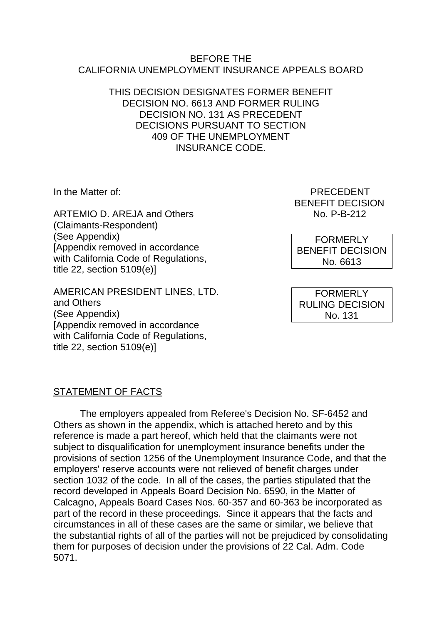#### BEFORE THE CALIFORNIA UNEMPLOYMENT INSURANCE APPEALS BOARD

#### THIS DECISION DESIGNATES FORMER BENEFIT DECISION NO. 6613 AND FORMER RULING DECISION NO. 131 AS PRECEDENT DECISIONS PURSUANT TO SECTION 409 OF THE UNEMPLOYMENT INSURANCE CODE.

ARTEMIO D. AREJA and Others No. P-B-212 (Claimants-Respondent) (See Appendix) [Appendix removed in accordance with California Code of Regulations, title 22, section 5109(e)]

AMERICAN PRESIDENT LINES, LTD. and Others (See Appendix) [Appendix removed in accordance with California Code of Regulations, title 22, section 5109(e)]

STATEMENT OF FACTS

The employers appealed from Referee's Decision No. SF-6452 and Others as shown in the appendix, which is attached hereto and by this reference is made a part hereof, which held that the claimants were not subject to disqualification for unemployment insurance benefits under the provisions of section 1256 of the Unemployment Insurance Code, and that the employers' reserve accounts were not relieved of benefit charges under section 1032 of the code. In all of the cases, the parties stipulated that the record developed in Appeals Board Decision No. 6590, in the Matter of Calcagno, Appeals Board Cases Nos. 60-357 and 60-363 be incorporated as part of the record in these proceedings. Since it appears that the facts and circumstances in all of these cases are the same or similar, we believe that the substantial rights of all of the parties will not be prejudiced by consolidating them for purposes of decision under the provisions of 22 Cal. Adm. Code 5071.

In the Matter of: PRECEDENT BENEFIT DECISION

> **FORMERLY** BENEFIT DECISION No. 6613

FORMERLY RULING DECISION No. 131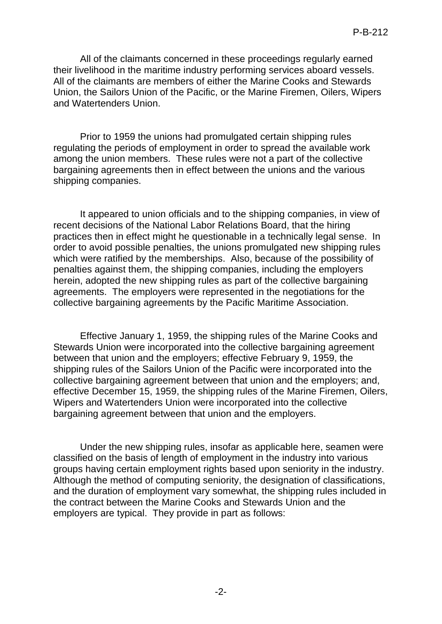All of the claimants concerned in these proceedings regularly earned their livelihood in the maritime industry performing services aboard vessels. All of the claimants are members of either the Marine Cooks and Stewards Union, the Sailors Union of the Pacific, or the Marine Firemen, Oilers, Wipers and Watertenders Union.

Prior to 1959 the unions had promulgated certain shipping rules regulating the periods of employment in order to spread the available work among the union members. These rules were not a part of the collective bargaining agreements then in effect between the unions and the various shipping companies.

It appeared to union officials and to the shipping companies, in view of recent decisions of the National Labor Relations Board, that the hiring practices then in effect might he questionable in a technically legal sense. In order to avoid possible penalties, the unions promulgated new shipping rules which were ratified by the memberships. Also, because of the possibility of penalties against them, the shipping companies, including the employers herein, adopted the new shipping rules as part of the collective bargaining agreements. The employers were represented in the negotiations for the collective bargaining agreements by the Pacific Maritime Association.

Effective January 1, 1959, the shipping rules of the Marine Cooks and Stewards Union were incorporated into the collective bargaining agreement between that union and the employers; effective February 9, 1959, the shipping rules of the Sailors Union of the Pacific were incorporated into the collective bargaining agreement between that union and the employers; and, effective December 15, 1959, the shipping rules of the Marine Firemen, Oilers, Wipers and Watertenders Union were incorporated into the collective bargaining agreement between that union and the employers.

Under the new shipping rules, insofar as applicable here, seamen were classified on the basis of length of employment in the industry into various groups having certain employment rights based upon seniority in the industry. Although the method of computing seniority, the designation of classifications, and the duration of employment vary somewhat, the shipping rules included in the contract between the Marine Cooks and Stewards Union and the employers are typical. They provide in part as follows: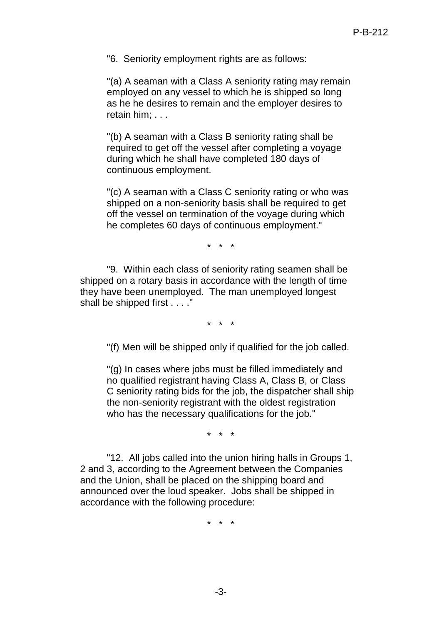"6. Seniority employment rights are as follows:

"(a) A seaman with a Class A seniority rating may remain employed on any vessel to which he is shipped so long as he he desires to remain and the employer desires to retain him; . . .

"(b) A seaman with a Class B seniority rating shall be required to get off the vessel after completing a voyage during which he shall have completed 180 days of continuous employment.

"(c) A seaman with a Class C seniority rating or who was shipped on a non-seniority basis shall be required to get off the vessel on termination of the voyage during which he completes 60 days of continuous employment."

\* \* \*

"9. Within each class of seniority rating seamen shall be shipped on a rotary basis in accordance with the length of time they have been unemployed. The man unemployed longest shall be shipped first . . . ."

\* \* \*

"(f) Men will be shipped only if qualified for the job called.

"(g) In cases where jobs must be filled immediately and no qualified registrant having Class A, Class B, or Class C seniority rating bids for the job, the dispatcher shall ship the non-seniority registrant with the oldest registration who has the necessary qualifications for the job."

\* \* \*

"12. All jobs called into the union hiring halls in Groups 1, 2 and 3, according to the Agreement between the Companies and the Union, shall be placed on the shipping board and announced over the loud speaker. Jobs shall be shipped in accordance with the following procedure:

\* \* \*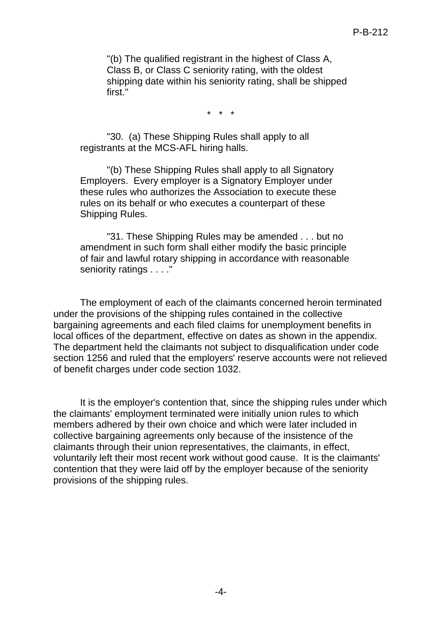"(b) The qualified registrant in the highest of Class A, Class B, or Class C seniority rating, with the oldest shipping date within his seniority rating, shall be shipped first."

\* \* \*

"30. (a) These Shipping Rules shall apply to all registrants at the MCS-AFL hiring halls.

"(b) These Shipping Rules shall apply to all Signatory Employers. Every employer is a Signatory Employer under these rules who authorizes the Association to execute these rules on its behalf or who executes a counterpart of these Shipping Rules.

"31. These Shipping Rules may be amended . . . but no amendment in such form shall either modify the basic principle of fair and lawful rotary shipping in accordance with reasonable seniority ratings . . . ."

The employment of each of the claimants concerned heroin terminated under the provisions of the shipping rules contained in the collective bargaining agreements and each filed claims for unemployment benefits in local offices of the department, effective on dates as shown in the appendix. The department held the claimants not subject to disqualification under code section 1256 and ruled that the employers' reserve accounts were not relieved of benefit charges under code section 1032.

It is the employer's contention that, since the shipping rules under which the claimants' employment terminated were initially union rules to which members adhered by their own choice and which were later included in collective bargaining agreements only because of the insistence of the claimants through their union representatives, the claimants, in effect, voluntarily left their most recent work without good cause. It is the claimants' contention that they were laid off by the employer because of the seniority provisions of the shipping rules.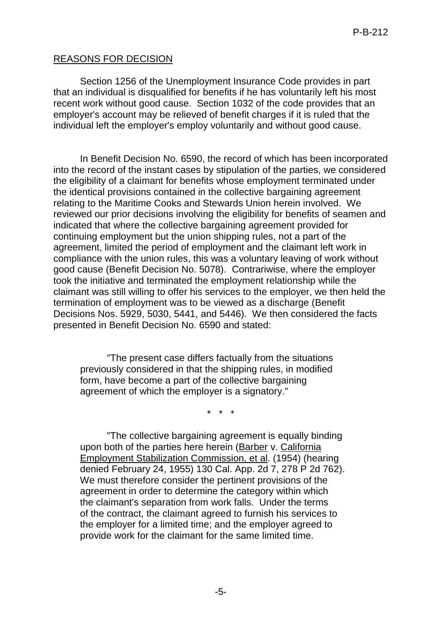# REASONS FOR DECISION

Section 1256 of the Unemployment Insurance Code provides in part that an individual is disqualified for benefits if he has voluntarily left his most recent work without good cause. Section 1032 of the code provides that an employer's account may be relieved of benefit charges if it is ruled that the individual left the employer's employ voluntarily and without good cause.

In Benefit Decision No. 6590, the record of which has been incorporated into the record of the instant cases by stipulation of the parties, we considered the eligibility of a claimant for benefits whose employment terminated under the identical provisions contained in the collective bargaining agreement relating to the Maritime Cooks and Stewards Union herein involved. We reviewed our prior decisions involving the eligibility for benefits of seamen and indicated that where the collective bargaining agreement provided for continuing employment but the union shipping rules, not a part of the agreement, limited the period of employment and the claimant left work in compliance with the union rules, this was a voluntary leaving of work without good cause (Benefit Decision No. 5078). Contrariwise, where the employer took the initiative and terminated the employment relationship while the claimant was still willing to offer his services to the employer, we then held the termination of employment was to be viewed as a discharge (Benefit Decisions Nos. 5929, 5030, 5441, and 5446). We then considered the facts presented in Benefit Decision No. 6590 and stated:

"The present case differs factually from the situations previously considered in that the shipping rules, in modified form, have become a part of the collective bargaining agreement of which the employer is a signatory."

\* \* \*

"The collective bargaining agreement is equally binding upon both of the parties here herein (Barber v. California Employment Stabilization Commission, et al. (1954) (hearing denied February 24, 1955) 130 Cal. App. 2d 7, 278 P 2d 762). We must therefore consider the pertinent provisions of the agreement in order to determine the category within which the claimant's separation from work falls. Under the terms of the contract, the claimant agreed to furnish his services to the employer for a limited time; and the employer agreed to provide work for the claimant for the same limited time.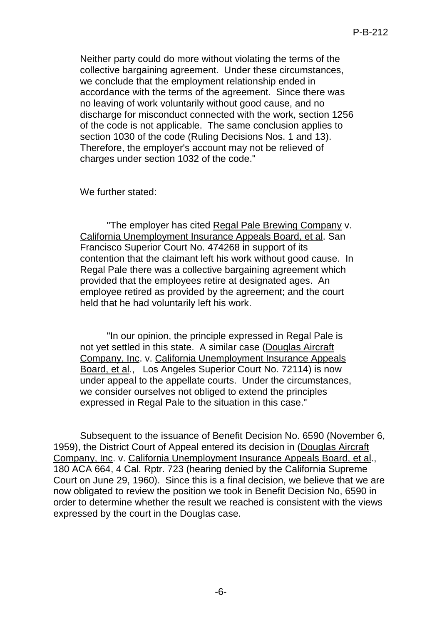Neither party could do more without violating the terms of the collective bargaining agreement. Under these circumstances, we conclude that the employment relationship ended in accordance with the terms of the agreement. Since there was no leaving of work voluntarily without good cause, and no discharge for misconduct connected with the work, section 1256 of the code is not applicable. The same conclusion applies to section 1030 of the code (Ruling Decisions Nos. 1 and 13). Therefore, the employer's account may not be relieved of charges under section 1032 of the code."

We further stated:

"The employer has cited Regal Pale Brewing Company v. California Unemployment Insurance Appeals Board, et al. San Francisco Superior Court No. 474268 in support of its contention that the claimant left his work without good cause. In Regal Pale there was a collective bargaining agreement which provided that the employees retire at designated ages. An employee retired as provided by the agreement; and the court held that he had voluntarily left his work.

"In our opinion, the principle expressed in Regal Pale is not yet settled in this state. A similar case (Douglas Aircraft Company, Inc. v. California Unemployment Insurance Appeals Board, et al., Los Angeles Superior Court No. 72114) is now under appeal to the appellate courts. Under the circumstances, we consider ourselves not obliged to extend the principles expressed in Regal Pale to the situation in this case."

Subsequent to the issuance of Benefit Decision No. 6590 (November 6, 1959), the District Court of Appeal entered its decision in (Douglas Aircraft Company, Inc. v. California Unemployment Insurance Appeals Board, et al., 180 ACA 664, 4 Cal. Rptr. 723 (hearing denied by the California Supreme Court on June 29, 1960). Since this is a final decision, we believe that we are now obligated to review the position we took in Benefit Decision No, 6590 in order to determine whether the result we reached is consistent with the views expressed by the court in the Douglas case.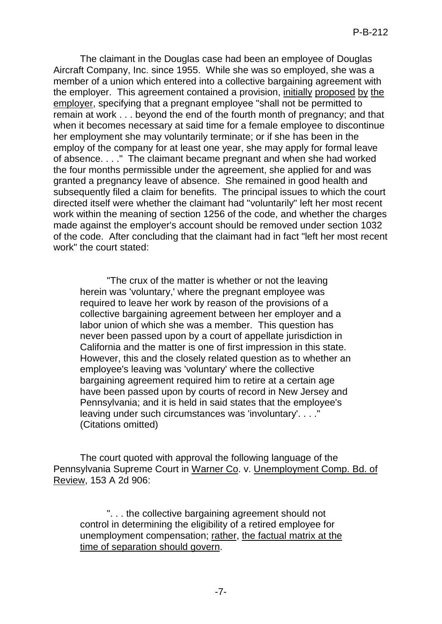The claimant in the Douglas case had been an employee of Douglas Aircraft Company, Inc. since 1955. While she was so employed, she was a member of a union which entered into a collective bargaining agreement with the employer. This agreement contained a provision, initially proposed by the employer, specifying that a pregnant employee "shall not be permitted to remain at work . . . beyond the end of the fourth month of pregnancy; and that when it becomes necessary at said time for a female employee to discontinue her employment she may voluntarily terminate; or if she has been in the employ of the company for at least one year, she may apply for formal leave of absence. . . ." The claimant became pregnant and when she had worked the four months permissible under the agreement, she applied for and was granted a pregnancy leave of absence. She remained in good health and subsequently filed a claim for benefits. The principal issues to which the court directed itself were whether the claimant had "voluntarily" left her most recent work within the meaning of section 1256 of the code, and whether the charges made against the employer's account should be removed under section 1032 of the code. After concluding that the claimant had in fact "left her most recent work" the court stated:

"The crux of the matter is whether or not the leaving herein was 'voluntary,' where the pregnant employee was required to leave her work by reason of the provisions of a collective bargaining agreement between her employer and a labor union of which she was a member. This question has never been passed upon by a court of appellate jurisdiction in California and the matter is one of first impression in this state. However, this and the closely related question as to whether an employee's leaving was 'voluntary' where the collective bargaining agreement required him to retire at a certain age have been passed upon by courts of record in New Jersey and Pennsylvania; and it is held in said states that the employee's leaving under such circumstances was 'involuntary'. . . ." (Citations omitted)

The court quoted with approval the following language of the Pennsylvania Supreme Court in Warner Co. v. Unemployment Comp. Bd. of Review, 153 A 2d 906:

". . . the collective bargaining agreement should not control in determining the eligibility of a retired employee for unemployment compensation; rather, the factual matrix at the time of separation should govern.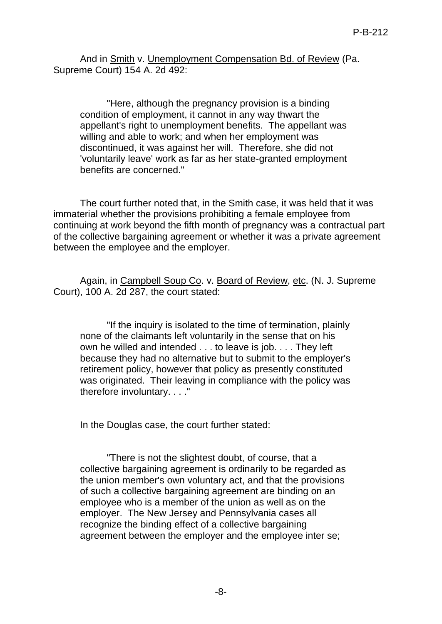And in Smith v. Unemployment Compensation Bd. of Review (Pa. Supreme Court) 154 A. 2d 492:

"Here, although the pregnancy provision is a binding condition of employment, it cannot in any way thwart the appellant's right to unemployment benefits. The appellant was willing and able to work; and when her employment was discontinued, it was against her will. Therefore, she did not 'voluntarily leave' work as far as her state-granted employment benefits are concerned."

The court further noted that, in the Smith case, it was held that it was immaterial whether the provisions prohibiting a female employee from continuing at work beyond the fifth month of pregnancy was a contractual part of the collective bargaining agreement or whether it was a private agreement between the employee and the employer.

Again, in Campbell Soup Co. v. Board of Review, etc. (N. J. Supreme Court), 100 A. 2d 287, the court stated:

"If the inquiry is isolated to the time of termination, plainly none of the claimants left voluntarily in the sense that on his own he willed and intended . . . to leave is job. . . . They left because they had no alternative but to submit to the employer's retirement policy, however that policy as presently constituted was originated. Their leaving in compliance with the policy was therefore involuntary. . . ."

In the Douglas case, the court further stated:

"There is not the slightest doubt, of course, that a collective bargaining agreement is ordinarily to be regarded as the union member's own voluntary act, and that the provisions of such a collective bargaining agreement are binding on an employee who is a member of the union as well as on the employer. The New Jersey and Pennsylvania cases all recognize the binding effect of a collective bargaining agreement between the employer and the employee inter se;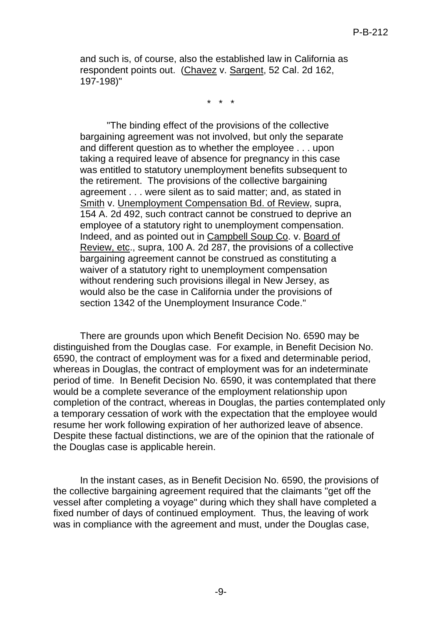and such is, of course, also the established law in California as respondent points out. (Chavez v. Sargent, 52 Cal. 2d 162, 197-198)"

\* \* \*

"The binding effect of the provisions of the collective bargaining agreement was not involved, but only the separate and different question as to whether the employee . . . upon taking a required leave of absence for pregnancy in this case was entitled to statutory unemployment benefits subsequent to the retirement. The provisions of the collective bargaining agreement . . . were silent as to said matter; and, as stated in Smith v. Unemployment Compensation Bd. of Review, supra, 154 A. 2d 492, such contract cannot be construed to deprive an employee of a statutory right to unemployment compensation. Indeed, and as pointed out in Campbell Soup Co. v. Board of Review, etc., supra, 100 A. 2d 287, the provisions of a collective bargaining agreement cannot be construed as constituting a waiver of a statutory right to unemployment compensation without rendering such provisions illegal in New Jersey, as would also be the case in California under the provisions of section 1342 of the Unemployment Insurance Code."

There are grounds upon which Benefit Decision No. 6590 may be distinguished from the Douglas case. For example, in Benefit Decision No. 6590, the contract of employment was for a fixed and determinable period, whereas in Douglas, the contract of employment was for an indeterminate period of time. In Benefit Decision No. 6590, it was contemplated that there would be a complete severance of the employment relationship upon completion of the contract, whereas in Douglas, the parties contemplated only a temporary cessation of work with the expectation that the employee would resume her work following expiration of her authorized leave of absence. Despite these factual distinctions, we are of the opinion that the rationale of the Douglas case is applicable herein.

In the instant cases, as in Benefit Decision No. 6590, the provisions of the collective bargaining agreement required that the claimants "get off the vessel after completing a voyage" during which they shall have completed a fixed number of days of continued employment. Thus, the leaving of work was in compliance with the agreement and must, under the Douglas case,